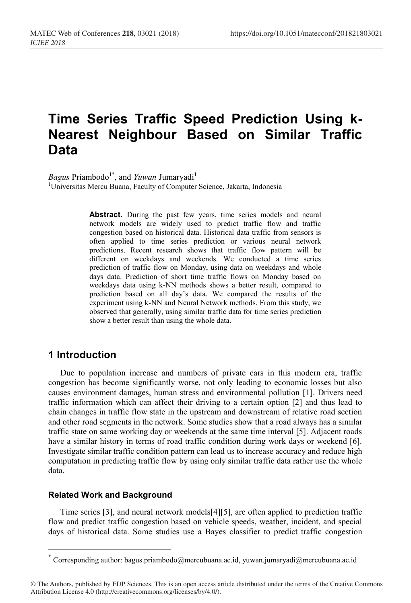# **Time Series Traffic Speed Prediction Using k-Nearest Neighbour Based on Similar Traffic Data**

*Bagus* Priambodo<sup>1\*</sup>, and *Yuwan* Jumaryadi<sup>1</sup> <sup>1</sup>Universitas Mercu Buana, Faculty of Computer Science, Jakarta, Indonesia

> Abstract. During the past few years, time series models and neural network models are widely used to predict traffic flow and traffic congestion based on historical data. Historical data traffic from sensors is often applied to time series prediction or various neural network predictions. Recent research shows that traffic flow pattern will be different on weekdays and weekends. We conducted a time series prediction of traffic flow on Monday, using data on weekdays and whole days data. Prediction of short time traffic flows on Monday based on weekdays data using k-NN methods shows a better result, compared to prediction based on all day's data. We compared the results of the experiment using k-NN and Neural Network methods. From this study, we observed that generally, using similar traffic data for time series prediction show a better result than using the whole data.

# **1 Introduction**

Due to population increase and numbers of private cars in this modern era, traffic congestion has become significantly worse, not only leading to economic losses but also causes environment damages, human stress and environmental pollution [1]. Drivers need traffic information which can affect their driving to a certain option [2] and thus lead to chain changes in traffic flow state in the upstream and downstream of relative road section and other road segments in the network. Some studies show that a road always has a similar traffic state on same working day or weekends at the same time interval [5]. Adjacent roads have a similar history in terms of road traffic condition during work days or weekend [6]. Investigate similar traffic condition pattern can lead us to increase accuracy and reduce high computation in predicting traffic flow by using only similar traffic data rather use the whole data.

### **Related Work and Background**

Time series [3], and neural network models[4][5], are often applied to prediction traffic flow and predict traffic congestion based on vehicle speeds, weather, incident, and special days of historical data. Some studies use a Bayes classifier to predict traffic congestion

© The Authors, published by EDP Sciences. This is an open access article distributed under the terms of the Creative Commons Attribution License 4.0 (http://creativecommons.org/licenses/by/4.0/).

 <sup>\*</sup> Corresponding author: bagus.priambodo@mercubuana.ac.id, yuwan.jumaryadi@mercubuana.ac.id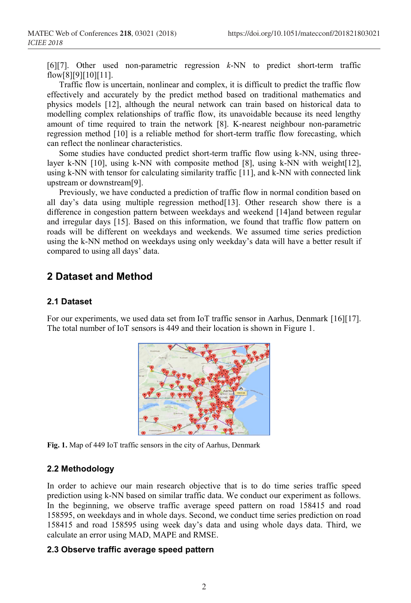[6][7]. Other used non-parametric regression *k*-NN to predict short-term traffic flow[8][9][10][11].

Traffic flow is uncertain, nonlinear and complex, it is difficult to predict the traffic flow effectively and accurately by the predict method based on traditional mathematics and physics models [12], although the neural network can train based on historical data to modelling complex relationships of traffic flow, its unavoidable because its need lengthy amount of time required to train the network [8]. K-nearest neighbour non-parametric regression method [10] is a reliable method for short-term traffic flow forecasting, which can reflect the nonlinear characteristics.

Some studies have conducted predict short-term traffic flow using k-NN, using threelayer k-NN [10], using k-NN with composite method [8], using k-NN with weight[12], using k-NN with tensor for calculating similarity traffic [11], and k-NN with connected link upstream or downstream[9].

Previously, we have conducted a prediction of traffic flow in normal condition based on all day's data using multiple regression method $[13]$ . Other research show there is a difference in congestion pattern between weekdays and weekend [14]and between regular and irregular days [15]. Based on this information, we found that traffic flow pattern on roads will be different on weekdays and weekends. We assumed time series prediction using the k-NN method on weekdays using only weekday's data will have a better result if compared to using all days' data.

# **2 Dataset and Method**

#### **2.1 Dataset**

For our experiments, we used data set from IoT traffic sensor in Aarhus, Denmark [16][17]. The total number of IoT sensors is 449 and their location is shown in Figure 1.



**Fig. 1.** Map of 449 IoT traffic sensors in the city of Aarhus, Denmark

### **2.2 Methodology**

In order to achieve our main research objective that is to do time series traffic speed prediction using k-NN based on similar traffic data. We conduct our experiment as follows. In the beginning, we observe traffic average speed pattern on road 158415 and road 158595, on weekdays and in whole days. Second, we conduct time series prediction on road 158415 and road 158595 using week day's data and using whole days data. Third, we calculate an error using MAD, MAPE and RMSE.

#### **2.3 Observe traffic average speed pattern**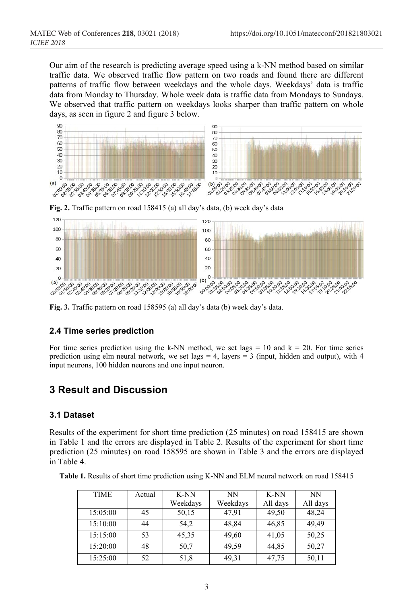Our aim of the research is predicting average speed using a k-NN method based on similar traffic data. We observed traffic flow pattern on two roads and found there are different patterns of traffic flow between weekdays and the whole days. Weekdays' data is traffic data from Monday to Thursday. Whole week data is traffic data from Mondays to Sundays. We observed that traffic pattern on weekdays looks sharper than traffic pattern on whole days, as seen in figure 2 and figure 3 below.



**Fig. 2.** Traffic pattern on road 158415 (a) all day's data, (b) week day's data



**Fig. 3.** Traffic pattern on road 158595 (a) all day's data (b) week day's data.

## **2.4 Time series prediction**

For time series prediction using the k-NN method, we set lags  $= 10$  and  $k = 20$ . For time series prediction using elm neural network, we set lags  $= 4$ , layers  $= 3$  (input, hidden and output), with 4 input neurons, 100 hidden neurons and one input neuron.

# **3 Result and Discussion**

## **3.1 Dataset**

Results of the experiment for short time prediction (25 minutes) on road 158415 are shown in Table 1 and the errors are displayed in Table 2. Results of the experiment for short time prediction (25 minutes) on road 158595 are shown in Table 3 and the errors are displayed in Table 4.

| <b>TIME</b> | Actual | K-NN     | NN       | K-NN     | <b>NN</b> |
|-------------|--------|----------|----------|----------|-----------|
|             |        | Weekdays | Weekdays | All days | All days  |
| 15:05:00    | 45     | 50,15    | 47,91    | 49,50    | 48,24     |
| 15:10:00    | 44     | 54,2     | 48,84    | 46,85    | 49.49     |
| 15:15:00    | 53     | 45,35    | 49,60    | 41,05    | 50,25     |
| 15:20:00    | 48     | 50,7     | 49,59    | 44,85    | 50,27     |
| 15:25:00    | 52     | 51,8     | 49,31    | 47,75    | 50,11     |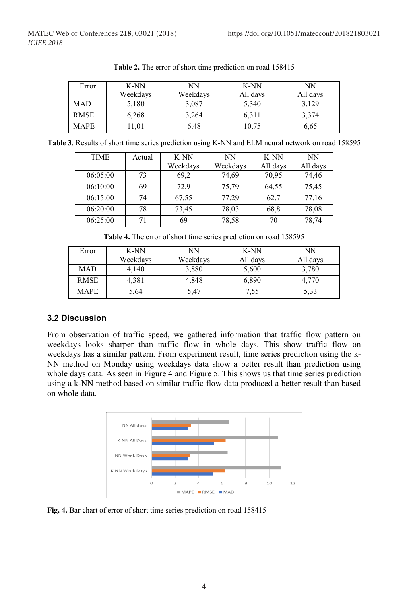| Error       | K-NN     | NΝ       | K-NN     | NN       |
|-------------|----------|----------|----------|----------|
|             | Weekdavs | Weekdavs | All days | All days |
| <b>MAD</b>  | 5,180    | 3,087    | 5,340    | 3,129    |
| <b>RMSE</b> | 6,268    | 3,264    | 6,311    | 3,374    |
| <b>MAPE</b> | 1,01     | 6,48     | 10,75    | 6.65     |

**Table 2.** The error of short time prediction on road 158415

**Table 3**. Results of short time series prediction using K-NN and ELM neural network on road 158595

| <b>TIME</b> | Actual | K-NN     | NN       | $K-NN$   | NN       |
|-------------|--------|----------|----------|----------|----------|
|             |        | Weekdays | Weekdays | All days | All days |
| 06:05:00    | 73     | 69,2     | 74,69    | 70,95    | 74,46    |
| 06:10:00    | 69     | 72.9     | 75,79    | 64,55    | 75,45    |
| 06:15:00    | 74     | 67,55    | 77,29    | 62,7     | 77,16    |
| 06:20:00    | 78     | 73,45    | 78,03    | 68.8     | 78,08    |
| 06:25:00    | 71     | 69       | 78,58    | 70       | 78,74    |

**Table 4.** The error of short time series prediction on road 158595

| Error       | K-NN     | NN       | K-NN     | NN       |
|-------------|----------|----------|----------|----------|
|             | Weekdays | Weekdays | All days | All days |
| <b>MAD</b>  | 4.140    | 3,880    | 5,600    | 3,780    |
| <b>RMSE</b> | 4,381    | 4,848    | 6,890    | 4.770    |
| <b>MAPE</b> | 5,64     | 5,47     | 7.55     | 5.33     |

## **3.2 Discussion**

From observation of traffic speed, we gathered information that traffic flow pattern on weekdays looks sharper than traffic flow in whole days. This show traffic flow on weekdays has a similar pattern. From experiment result, time series prediction using the k-NN method on Monday using weekdays data show a better result than prediction using whole days data. As seen in Figure 4 and Figure 5. This shows us that time series prediction using a k-NN method based on similar traffic flow data produced a better result than based on whole data.



**Fig. 4.** Bar chart of error of short time series prediction on road 158415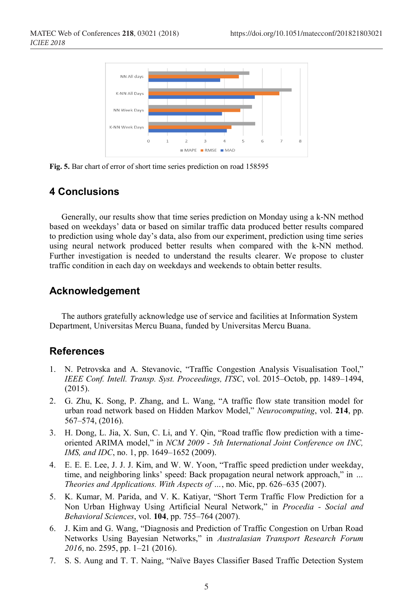

**Fig. 5.** Bar chart of error of short time series prediction on road 158595

# **4 Conclusions**

Generally, our results show that time series prediction on Monday using a k-NN method based on weekdays' data or based on similar traffic data produced better results compared to prediction using whole day's data, also from our experiment, prediction using time series using neural network produced better results when compared with the k-NN method. Further investigation is needed to understand the results clearer. We propose to cluster traffic condition in each day on weekdays and weekends to obtain better results.

# **Acknowledgement**

The authors gratefully acknowledge use of service and facilities at Information System Department, Universitas Mercu Buana, funded by Universitas Mercu Buana.

# **References**

- 1. N. Petrovska and A. Stevanovic, "Traffic Congestion Analysis Visualisation Tool," *IEEE Conf. Intell. Transp. Syst. Proceedings, ITSC*, vol. 2015–Octob, pp. 1489–1494, (2015).
- 2. G. Zhu, K. Song, P. Zhang, and L. Wang, "A traffic flow state transition model for urban road network based on Hidden Markov Model," *Neurocomputing*, vol. **214**, pp. 567–574, (2016).
- 3. H. Dong, L. Jia, X. Sun, C. Li, and Y. Qin, "Road traffic flow prediction with a timeoriented ARIMA model," in *NCM 2009 - 5th International Joint Conference on INC, IMS, and IDC, no.* 1, pp. 1649–1652 (2009).
- 4. E. E. E. Lee, J. J. J. Kim, and W. W. Yoon, "Traffic speed prediction under weekday, time, and neighboring links' speed: Back propagation neural network approach," in *… Theories and Applications. With Aspects of …*, no. Mic, pp. 626–635 (2007).
- 5. K. Kumar, M. Parida, and V. K. Katiyar, "Short Term Traffic Flow Prediction for a Non Urban Highway Using Artificial Neural Network," in *Procedia - Social and Behavioral Sciences*, vol. **104**, pp. 755–764 (2007).
- 6. J. Kim and G. Wang, "Diagnosis and Prediction of Traffic Congestion on Urban Road Networks Using Bayesian Networks," in *Australasian Transport Research Forum 2016*, no. 2595, pp. 1–21 (2016).
- 7. S. S. Aung and T. T. Naing, "Naïve Bayes Classifier Based Traffic Detection System